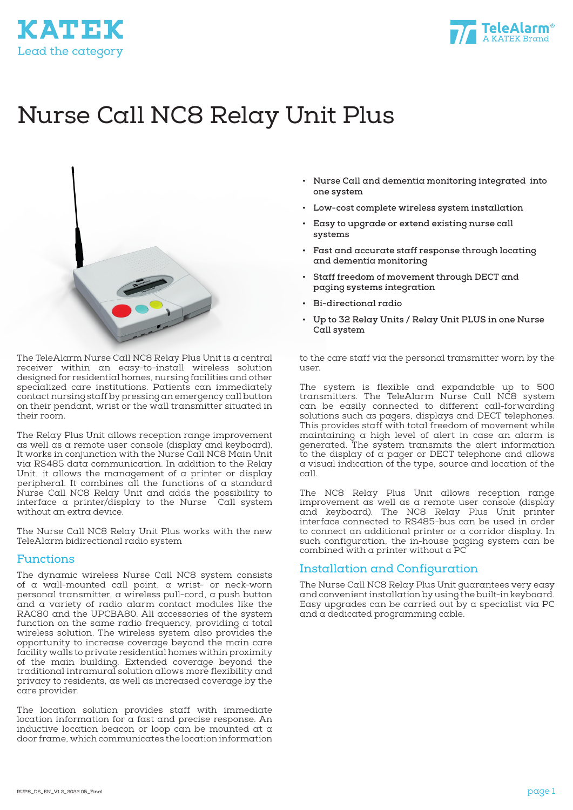



# Nurse Call NC8 Relay Unit Plus



The TeleAlarm Nurse Call NC8 Relay Plus Unit is a central receiver within an easy-to-install wireless solution designed for residential homes, nursing facilities and other specialized care institutions. Patients can immediately contact nursing staff by pressing an emergency call button on their pendant, wrist or the wall transmitter situated in their room.

The Relay Plus Unit allows reception range improvement as well as a remote user console (display and keyboard). It works in conjunction with the Nurse Call NC8 Main Unit via RS485 data communication. In addition to the Relay Unit, it allows the management of a printer or display peripheral. It combines all the functions of a standard Nurse Call NC8 Relay Unit and adds the possibility to interface a printer/display to the Nurse  $\overline{\ }$  Call system without an extra device.

The Nurse Call NC8 Relay Unit Plus works with the new TeleAlarm bidirectional radio system

#### Functions

The dynamic wireless Nurse Call NC8 system consists of a wall-mounted call point, a wrist- or neck-worn personal transmitter, a wireless pull-cord, a push button and a variety of radio alarm contact modules like the RAC80 and the UPCBA80. All accessories of the system function on the same radio frequency, providing a total wireless solution. The wireless system also provides the opportunity to increase coverage beyond the main care facility walls to private residential homes within proximity of the main building. Extended coverage beyond the traditional intramural solution allows more flexibility and privacy to residents, as well as increased coverage by the care provider.

The location solution provides staff with immediate location information for a fast and precise response. An inductive location beacon or loop can be mounted at a door frame, which communicates the location information

- **• Nurse Call and dementia monitoring integrated into one system**
- **• Low-cost complete wireless system installation**
- **• Easy to upgrade or extend existing nurse call systems**
- **• Fast and accurate staff response through locating and dementia monitoring**
- **• Staff freedom of movement through DECT and paging systems integration**
- **• Bi-directional radio**
- **• Up to 32 Relay Units / Relay Unit PLUS in one Nurse Call system**

to the care staff via the personal transmitter worn by the user.

The system is flexible and expandable up to 500 transmitters. The TeleAlarm Nurse Call NC8 system can be easily connected to different call-forwarding solutions such as pagers, displays and DECT telephones. This provides staff with total freedom of movement while maintaining a high level of alert in case an alarm is generated. The system transmits the alert information to the display of a pager or DECT telephone and allows a visual indication of the type, source and location of the call.

The NC8 Relay Plus Unit allows reception range improvement as well as a remote user console (display and keyboard). The NC8 Relay Plus Unit printer interface connected to RS485-bus can be used in order to connect an additional printer or a corridor display. In such configuration, the in-house paging system can be combined with  $\alpha$  printer without  $\alpha$  PC

#### Installation and Configuration

The Nurse Call NC8 Relay Plus Unit guarantees very easy and convenient installation by using the built-in keyboard. Easy upgrades can be carried out by a specialist via PC and a dedicated programming cable.